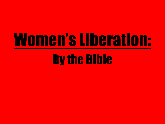# Women's Liberation:

## By the Bible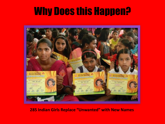

#### **285 Indian Girls Replace "Unwanted" with New Names**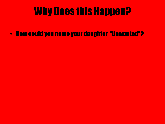• How could you name your daughter, "Unwanted"?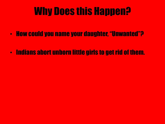- How could you name your daughter, "Unwanted"?
- Indians abort unborn little girls to get rid of them.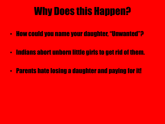- How could you name your daughter, "Unwanted"?
- Indians abort unborn little girls to get rid of them.
- Parents hate losing a daughter and paying for it!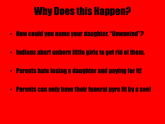- How could you name your daughter, "Unwanted"?
- Indians abort unborn little girls to get rid of them.
- Parents hate losing a daughter and paying for it!
- Parents can only have their funeral pyre lit by a son!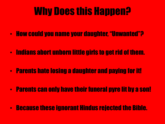- How could you name your daughter, "Unwanted"?
- Indians abort unborn little girls to get rid of them.
- Parents hate losing a daughter and paying for it!
- Parents can only have their funeral pyre lit by a son!
- Because these ignorant Hindus rejected the Bible.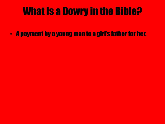• A payment by a young man to a girl's father for her.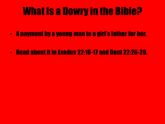- A payment by a young man to a girl's father for her.
- Read about it in Exodus 22:16-17 and Deut 22:28-29.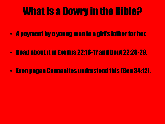- A payment by a young man to a girl's father for her.
- Read about it in Exodus 22:16-17 and Deut 22:28-29.
- Even pagan Canaanites understood this (Gen 34:12).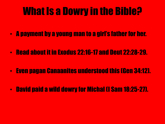- A payment by a young man to a girl's father for her.
- Read about it in Exodus 22:16-17 and Deut 22:28-29.
- Even pagan Canaanites understood this (Gen 34:12).
- David paid a wild dowry for Michal (I Sam 18:25-27).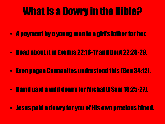- A payment by a young man to a girl's father for her.
- Read about it in Exodus 22:16-17 and Deut 22:28-29.
- Even pagan Canaanites understood this (Gen 34:12).
- David paid a wild dowry for Michal (I Sam 18:25-27).
- Jesus paid a dowry for you of His own precious blood.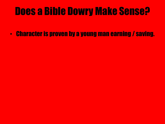• Character is proven by a young man earning / saving.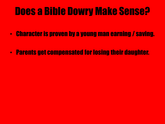- Character is proven by a young man earning / saving.
- Parents get compensated for losing their daughter.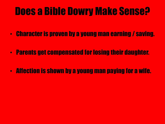- Character is proven by a young man earning / saving.
- Parents get compensated for losing their daughter.
- Affection is shown by a young man paying for a wife.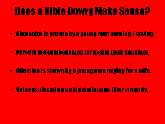- Character is proven by a young man earning / saving.
- Parents get compensated for losing their daughter.
- Affection is shown by a young man paying for a wife.
- Value is placed on girls maintaining their virginity.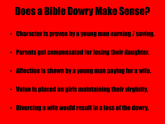- Character is proven by a young man earning / saving.
- Parents get compensated for losing their daughter.
- Affection is shown by a young man paying for a wife.
- Value is placed on girls maintaining their virginity.
- Divorcing a wife would result in a loss of the dowry.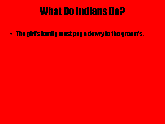• The girl's family must pay a dowry to the groom's.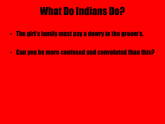- The girl's family must pay a dowry to the groom's.
- Can you be more confused and convoluted than this?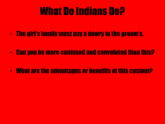- The girl's family must pay a dowry to the groom's.
- Can you be more confused and convoluted than this?
- What are the advantages or benefits of this custom?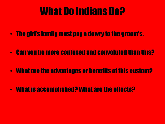- The girl's family must pay a dowry to the groom's.
- Can you be more confused and convoluted than this?
- What are the advantages or benefits of this custom?
- What is accomplished? What are the effects?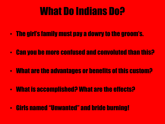- The girl's family must pay a dowry to the groom's.
- Can you be more confused and convoluted than this?
- What are the advantages or benefits of this custom?
- What is accomplished? What are the effects?
- Girls named "Unwanted" and bride burning!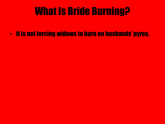• It is not forcing widows to burn on husbands' pyres.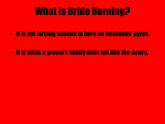- It is not forcing widows to burn on husbands' pyres.
- It is when a groom's family does not like the dowry.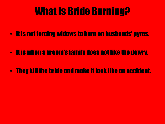- It is not forcing widows to burn on husbands' pyres.
- It is when a groom's family does not like the dowry.
- They kill the bride and make it look like an accident.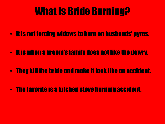- It is not forcing widows to burn on husbands' pyres.
- It is when a groom's family does not like the dowry.
- They kill the bride and make it look like an accident.
- The favorite is a kitchen stove burning accident.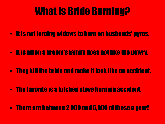- It is not forcing widows to burn on husbands' pyres.
- It is when a groom's family does not like the dowry.
- They kill the bride and make it look like an accident.
- The favorite is a kitchen stove burning accident.
- There are between 2,000 and 5,000 of these a year!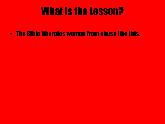• The Bible liberates women from abuse like this.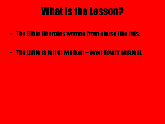- The Bible liberates women from abuse like this.
- The Bible is full of wisdom even dowry wisdom.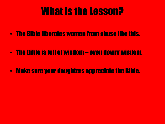- The Bible liberates women from abuse like this.
- The Bible is full of wisdom even dowry wisdom.
- Make sure your daughters appreciate the Bible.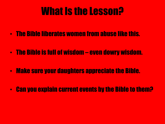- The Bible liberates women from abuse like this.
- The Bible is full of wisdom even dowry wisdom.
- Make sure your daughters appreciate the Bible.
- Can you explain current events by the Bible to them?